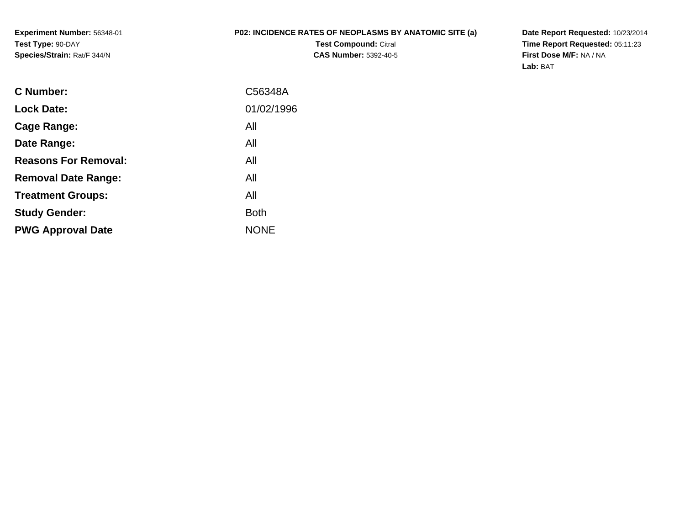**Experiment Number:** 56348-01**Test Type:** 90-DAY**Species/Strain:** Rat/F 344/N

## **P02: INCIDENCE RATES OF NEOPLASMS BY ANATOMIC SITE (a)**

**Test Compound:** Citral **CAS Number:** 5392-40-5 **Date Report Requested:** 10/23/2014 **Time Report Requested:** 05:11:23**First Dose M/F:** NA / NA**Lab:** BAT

| C Number:                   | C56348A     |
|-----------------------------|-------------|
| <b>Lock Date:</b>           | 01/02/1996  |
| Cage Range:                 | All         |
| Date Range:                 | All         |
| <b>Reasons For Removal:</b> | All         |
| <b>Removal Date Range:</b>  | All         |
| <b>Treatment Groups:</b>    | All         |
| <b>Study Gender:</b>        | <b>Both</b> |
| <b>PWG Approval Date</b>    | <b>NONE</b> |
|                             |             |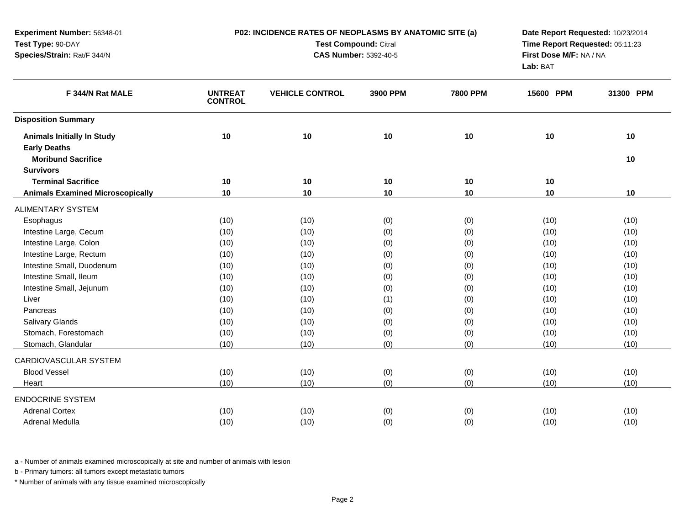| <b>Test Compound: Citral</b><br>Time Report Requested: 05:11:23<br><b>CAS Number: 5392-40-5</b><br>First Dose M/F: NA / NA<br>Lab: BAT<br>F 344/N Rat MALE<br><b>UNTREAT</b><br><b>VEHICLE CONTROL</b><br>3900 PPM<br><b>7800 PPM</b><br>15600 PPM<br>31300 PPM<br><b>CONTROL</b><br>10<br>10<br>10<br>10<br><b>Animals Initially In Study</b><br>10<br>10<br><b>Early Deaths</b><br><b>Moribund Sacrifice</b><br>10<br><b>Survivors</b><br><b>Terminal Sacrifice</b><br>10<br>10<br>10<br>10<br>10<br>$10$<br>10<br>10<br>10<br><b>Animals Examined Microscopically</b><br>10<br>10<br>(10)<br>(0)<br>(10)<br>Esophagus<br>(10)<br>(0)<br>(10)<br>Intestine Large, Cecum<br>(10)<br>(10)<br>(0)<br>(0)<br>(10)<br>(10)<br>Intestine Large, Colon<br>(10)<br>(0)<br>(10)<br>(10)<br>(0)<br>(10)<br>Intestine Large, Rectum<br>(10)<br>(10)<br>(10)<br>(0)<br>(0)<br>(10)<br>Intestine Small, Duodenum<br>(10)<br>(10)<br>(0)<br>(0)<br>(10)<br>(10)<br>Intestine Small, Ileum<br>(10)<br>(10)<br>(10)<br>(0)<br>(0)<br>(10)<br>Intestine Small, Jejunum<br>(10)<br>(10)<br>(0)<br>(0)<br>(10)<br>(10)<br>Liver<br>(10)<br>(10)<br>(1)<br>(0)<br>(10)<br>(10)<br>(10)<br>(10)<br>Pancreas<br>(10)<br>(0)<br>(0)<br>(10)<br><b>Salivary Glands</b><br>(10)<br>(10)<br>(10)<br>(0)<br>(0)<br>(10)<br>Stomach, Forestomach<br>(10)<br>(10)<br>(10)<br>(0)<br>(0)<br>(10)<br>(10)<br>(0)<br>(10)<br>Stomach, Glandular<br>(10)<br>(0)<br>(10)<br><b>Blood Vessel</b><br>(10)<br>(10)<br>(0)<br>(0)<br>(10)<br>(10)<br>(10)<br>(10)<br>(0)<br>(0)<br>(10)<br>(10)<br>Heart<br><b>Adrenal Cortex</b><br>(10)<br>(10)<br>(0)<br>(0)<br>(10)<br>(10)<br>Adrenal Medulla<br>(10)<br>(10)<br>(0)<br>(0)<br>(10)<br>(10) | Experiment Number: 56348-01 | P02: INCIDENCE RATES OF NEOPLASMS BY ANATOMIC SITE (a) | Date Report Requested: 10/23/2014 |  |  |
|--------------------------------------------------------------------------------------------------------------------------------------------------------------------------------------------------------------------------------------------------------------------------------------------------------------------------------------------------------------------------------------------------------------------------------------------------------------------------------------------------------------------------------------------------------------------------------------------------------------------------------------------------------------------------------------------------------------------------------------------------------------------------------------------------------------------------------------------------------------------------------------------------------------------------------------------------------------------------------------------------------------------------------------------------------------------------------------------------------------------------------------------------------------------------------------------------------------------------------------------------------------------------------------------------------------------------------------------------------------------------------------------------------------------------------------------------------------------------------------------------------------------------------------------------------------------------------------------------------------------------------------------------------------------------------------------------------------|-----------------------------|--------------------------------------------------------|-----------------------------------|--|--|
|                                                                                                                                                                                                                                                                                                                                                                                                                                                                                                                                                                                                                                                                                                                                                                                                                                                                                                                                                                                                                                                                                                                                                                                                                                                                                                                                                                                                                                                                                                                                                                                                                                                                                                              | Test Type: 90-DAY           |                                                        |                                   |  |  |
|                                                                                                                                                                                                                                                                                                                                                                                                                                                                                                                                                                                                                                                                                                                                                                                                                                                                                                                                                                                                                                                                                                                                                                                                                                                                                                                                                                                                                                                                                                                                                                                                                                                                                                              | Species/Strain: Rat/F 344/N |                                                        |                                   |  |  |
|                                                                                                                                                                                                                                                                                                                                                                                                                                                                                                                                                                                                                                                                                                                                                                                                                                                                                                                                                                                                                                                                                                                                                                                                                                                                                                                                                                                                                                                                                                                                                                                                                                                                                                              |                             |                                                        |                                   |  |  |
|                                                                                                                                                                                                                                                                                                                                                                                                                                                                                                                                                                                                                                                                                                                                                                                                                                                                                                                                                                                                                                                                                                                                                                                                                                                                                                                                                                                                                                                                                                                                                                                                                                                                                                              | <b>Disposition Summary</b>  |                                                        |                                   |  |  |
|                                                                                                                                                                                                                                                                                                                                                                                                                                                                                                                                                                                                                                                                                                                                                                                                                                                                                                                                                                                                                                                                                                                                                                                                                                                                                                                                                                                                                                                                                                                                                                                                                                                                                                              |                             |                                                        |                                   |  |  |
|                                                                                                                                                                                                                                                                                                                                                                                                                                                                                                                                                                                                                                                                                                                                                                                                                                                                                                                                                                                                                                                                                                                                                                                                                                                                                                                                                                                                                                                                                                                                                                                                                                                                                                              |                             |                                                        |                                   |  |  |
|                                                                                                                                                                                                                                                                                                                                                                                                                                                                                                                                                                                                                                                                                                                                                                                                                                                                                                                                                                                                                                                                                                                                                                                                                                                                                                                                                                                                                                                                                                                                                                                                                                                                                                              |                             |                                                        |                                   |  |  |
|                                                                                                                                                                                                                                                                                                                                                                                                                                                                                                                                                                                                                                                                                                                                                                                                                                                                                                                                                                                                                                                                                                                                                                                                                                                                                                                                                                                                                                                                                                                                                                                                                                                                                                              |                             |                                                        |                                   |  |  |
|                                                                                                                                                                                                                                                                                                                                                                                                                                                                                                                                                                                                                                                                                                                                                                                                                                                                                                                                                                                                                                                                                                                                                                                                                                                                                                                                                                                                                                                                                                                                                                                                                                                                                                              |                             |                                                        |                                   |  |  |
|                                                                                                                                                                                                                                                                                                                                                                                                                                                                                                                                                                                                                                                                                                                                                                                                                                                                                                                                                                                                                                                                                                                                                                                                                                                                                                                                                                                                                                                                                                                                                                                                                                                                                                              | <b>ALIMENTARY SYSTEM</b>    |                                                        |                                   |  |  |
|                                                                                                                                                                                                                                                                                                                                                                                                                                                                                                                                                                                                                                                                                                                                                                                                                                                                                                                                                                                                                                                                                                                                                                                                                                                                                                                                                                                                                                                                                                                                                                                                                                                                                                              |                             |                                                        |                                   |  |  |
|                                                                                                                                                                                                                                                                                                                                                                                                                                                                                                                                                                                                                                                                                                                                                                                                                                                                                                                                                                                                                                                                                                                                                                                                                                                                                                                                                                                                                                                                                                                                                                                                                                                                                                              |                             |                                                        |                                   |  |  |
|                                                                                                                                                                                                                                                                                                                                                                                                                                                                                                                                                                                                                                                                                                                                                                                                                                                                                                                                                                                                                                                                                                                                                                                                                                                                                                                                                                                                                                                                                                                                                                                                                                                                                                              |                             |                                                        |                                   |  |  |
|                                                                                                                                                                                                                                                                                                                                                                                                                                                                                                                                                                                                                                                                                                                                                                                                                                                                                                                                                                                                                                                                                                                                                                                                                                                                                                                                                                                                                                                                                                                                                                                                                                                                                                              |                             |                                                        |                                   |  |  |
|                                                                                                                                                                                                                                                                                                                                                                                                                                                                                                                                                                                                                                                                                                                                                                                                                                                                                                                                                                                                                                                                                                                                                                                                                                                                                                                                                                                                                                                                                                                                                                                                                                                                                                              |                             |                                                        |                                   |  |  |
|                                                                                                                                                                                                                                                                                                                                                                                                                                                                                                                                                                                                                                                                                                                                                                                                                                                                                                                                                                                                                                                                                                                                                                                                                                                                                                                                                                                                                                                                                                                                                                                                                                                                                                              |                             |                                                        |                                   |  |  |
|                                                                                                                                                                                                                                                                                                                                                                                                                                                                                                                                                                                                                                                                                                                                                                                                                                                                                                                                                                                                                                                                                                                                                                                                                                                                                                                                                                                                                                                                                                                                                                                                                                                                                                              |                             |                                                        |                                   |  |  |
|                                                                                                                                                                                                                                                                                                                                                                                                                                                                                                                                                                                                                                                                                                                                                                                                                                                                                                                                                                                                                                                                                                                                                                                                                                                                                                                                                                                                                                                                                                                                                                                                                                                                                                              |                             |                                                        |                                   |  |  |
|                                                                                                                                                                                                                                                                                                                                                                                                                                                                                                                                                                                                                                                                                                                                                                                                                                                                                                                                                                                                                                                                                                                                                                                                                                                                                                                                                                                                                                                                                                                                                                                                                                                                                                              |                             |                                                        |                                   |  |  |
|                                                                                                                                                                                                                                                                                                                                                                                                                                                                                                                                                                                                                                                                                                                                                                                                                                                                                                                                                                                                                                                                                                                                                                                                                                                                                                                                                                                                                                                                                                                                                                                                                                                                                                              |                             |                                                        |                                   |  |  |
|                                                                                                                                                                                                                                                                                                                                                                                                                                                                                                                                                                                                                                                                                                                                                                                                                                                                                                                                                                                                                                                                                                                                                                                                                                                                                                                                                                                                                                                                                                                                                                                                                                                                                                              |                             |                                                        |                                   |  |  |
|                                                                                                                                                                                                                                                                                                                                                                                                                                                                                                                                                                                                                                                                                                                                                                                                                                                                                                                                                                                                                                                                                                                                                                                                                                                                                                                                                                                                                                                                                                                                                                                                                                                                                                              |                             |                                                        |                                   |  |  |
|                                                                                                                                                                                                                                                                                                                                                                                                                                                                                                                                                                                                                                                                                                                                                                                                                                                                                                                                                                                                                                                                                                                                                                                                                                                                                                                                                                                                                                                                                                                                                                                                                                                                                                              | CARDIOVASCULAR SYSTEM       |                                                        |                                   |  |  |
|                                                                                                                                                                                                                                                                                                                                                                                                                                                                                                                                                                                                                                                                                                                                                                                                                                                                                                                                                                                                                                                                                                                                                                                                                                                                                                                                                                                                                                                                                                                                                                                                                                                                                                              |                             |                                                        |                                   |  |  |
|                                                                                                                                                                                                                                                                                                                                                                                                                                                                                                                                                                                                                                                                                                                                                                                                                                                                                                                                                                                                                                                                                                                                                                                                                                                                                                                                                                                                                                                                                                                                                                                                                                                                                                              |                             |                                                        |                                   |  |  |
|                                                                                                                                                                                                                                                                                                                                                                                                                                                                                                                                                                                                                                                                                                                                                                                                                                                                                                                                                                                                                                                                                                                                                                                                                                                                                                                                                                                                                                                                                                                                                                                                                                                                                                              | <b>ENDOCRINE SYSTEM</b>     |                                                        |                                   |  |  |
|                                                                                                                                                                                                                                                                                                                                                                                                                                                                                                                                                                                                                                                                                                                                                                                                                                                                                                                                                                                                                                                                                                                                                                                                                                                                                                                                                                                                                                                                                                                                                                                                                                                                                                              |                             |                                                        |                                   |  |  |
|                                                                                                                                                                                                                                                                                                                                                                                                                                                                                                                                                                                                                                                                                                                                                                                                                                                                                                                                                                                                                                                                                                                                                                                                                                                                                                                                                                                                                                                                                                                                                                                                                                                                                                              |                             |                                                        |                                   |  |  |

b - Primary tumors: all tumors except metastatic tumors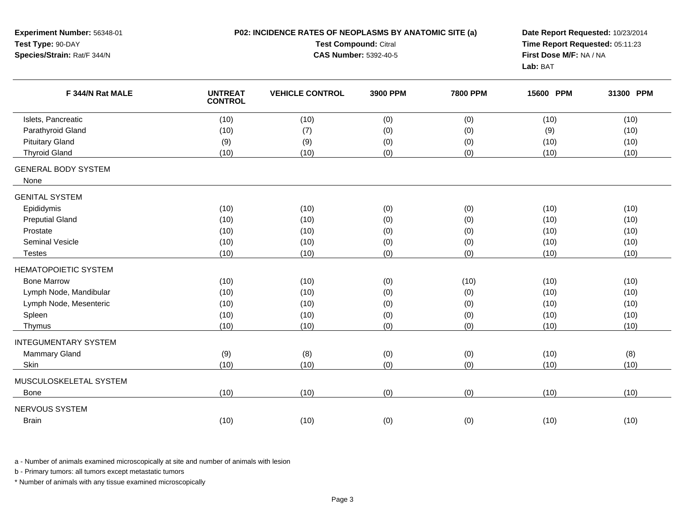| Experiment Number: 56348-01<br>Test Type: 90-DAY<br>Species/Strain: Rat/F 344/N |                                  | P02: INCIDENCE RATES OF NEOPLASMS BY ANATOMIC SITE (a)<br><b>Test Compound: Citral</b><br><b>CAS Number: 5392-40-5</b> | Date Report Requested: 10/23/2014<br>Time Report Requested: 05:11:23<br>First Dose M/F: NA / NA<br>Lab: BAT |                 |           |           |
|---------------------------------------------------------------------------------|----------------------------------|------------------------------------------------------------------------------------------------------------------------|-------------------------------------------------------------------------------------------------------------|-----------------|-----------|-----------|
| F 344/N Rat MALE                                                                | <b>UNTREAT</b><br><b>CONTROL</b> | <b>VEHICLE CONTROL</b>                                                                                                 | 3900 PPM                                                                                                    | <b>7800 PPM</b> | 15600 PPM | 31300 PPM |
| Islets, Pancreatic                                                              | (10)                             | (10)                                                                                                                   | (0)                                                                                                         | (0)             | (10)      | (10)      |
| Parathyroid Gland                                                               | (10)                             | (7)                                                                                                                    | (0)                                                                                                         | (0)             | (9)       | (10)      |
| <b>Pituitary Gland</b>                                                          | (9)                              | (9)                                                                                                                    | (0)                                                                                                         | (0)             | (10)      | (10)      |
| <b>Thyroid Gland</b>                                                            | (10)                             | (10)                                                                                                                   | (0)                                                                                                         | (0)             | (10)      | (10)      |
| <b>GENERAL BODY SYSTEM</b><br>None                                              |                                  |                                                                                                                        |                                                                                                             |                 |           |           |
| <b>GENITAL SYSTEM</b>                                                           |                                  |                                                                                                                        |                                                                                                             |                 |           |           |
| Epididymis                                                                      | (10)                             | (10)                                                                                                                   | (0)                                                                                                         | (0)             | (10)      | (10)      |
| <b>Preputial Gland</b>                                                          | (10)                             | (10)                                                                                                                   | (0)                                                                                                         | (0)             | (10)      | (10)      |
| Prostate                                                                        | (10)                             | (10)                                                                                                                   | (0)                                                                                                         | (0)             | (10)      | (10)      |
| <b>Seminal Vesicle</b>                                                          | (10)                             | (10)                                                                                                                   | (0)                                                                                                         | (0)             | (10)      | (10)      |
| <b>Testes</b>                                                                   | (10)                             | (10)                                                                                                                   | (0)                                                                                                         | (0)             | (10)      | (10)      |
| <b>HEMATOPOIETIC SYSTEM</b>                                                     |                                  |                                                                                                                        |                                                                                                             |                 |           |           |
| <b>Bone Marrow</b>                                                              | (10)                             | (10)                                                                                                                   | (0)                                                                                                         | (10)            | (10)      | (10)      |
| Lymph Node, Mandibular                                                          | (10)                             | (10)                                                                                                                   | (0)                                                                                                         | (0)             | (10)      | (10)      |
| Lymph Node, Mesenteric                                                          | (10)                             | (10)                                                                                                                   | (0)                                                                                                         | (0)             | (10)      | (10)      |
| Spleen                                                                          | (10)                             | (10)                                                                                                                   | (0)                                                                                                         | (0)             | (10)      | (10)      |
| Thymus                                                                          | (10)                             | (10)                                                                                                                   | (0)                                                                                                         | (0)             | (10)      | (10)      |
| <b>INTEGUMENTARY SYSTEM</b>                                                     |                                  |                                                                                                                        |                                                                                                             |                 |           |           |
| <b>Mammary Gland</b>                                                            | (9)                              | (8)                                                                                                                    | (0)                                                                                                         | (0)             | (10)      | (8)       |
| Skin                                                                            | (10)                             | (10)                                                                                                                   | (0)                                                                                                         | (0)             | (10)      | (10)      |
| MUSCULOSKELETAL SYSTEM                                                          |                                  |                                                                                                                        |                                                                                                             |                 |           |           |
| <b>Bone</b>                                                                     | (10)                             | (10)                                                                                                                   | (0)                                                                                                         | (0)             | (10)      | (10)      |
| <b>NERVOUS SYSTEM</b><br><b>Brain</b>                                           | (10)                             | (10)                                                                                                                   | (0)                                                                                                         | (0)             | (10)      | (10)      |

b - Primary tumors: all tumors except metastatic tumors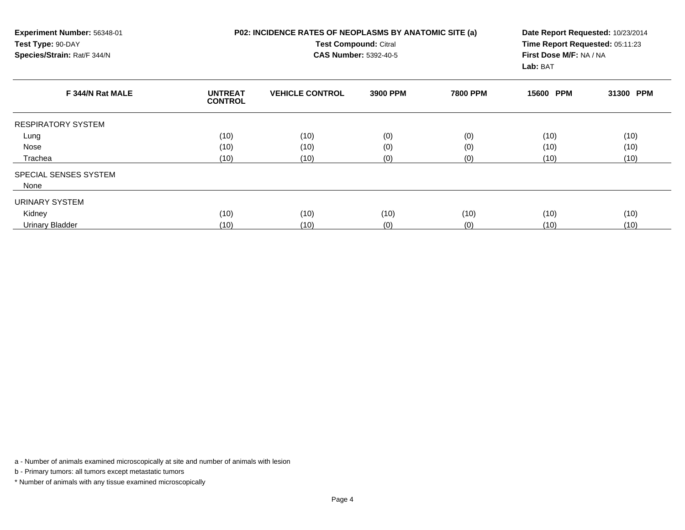| Experiment Number: 56348-01<br>Test Type: 90-DAY<br>Species/Strain: Rat/F 344/N |                                  | <b>P02: INCIDENCE RATES OF NEOPLASMS BY ANATOMIC SITE (a)</b><br>Test Compound: Citral<br><b>CAS Number: 5392-40-5</b> | Date Report Requested: 10/23/2014<br>Time Report Requested: 05:11:23<br>First Dose M/F: NA / NA<br>Lab: BAT |                 |           |           |
|---------------------------------------------------------------------------------|----------------------------------|------------------------------------------------------------------------------------------------------------------------|-------------------------------------------------------------------------------------------------------------|-----------------|-----------|-----------|
| F 344/N Rat MALE                                                                | <b>UNTREAT</b><br><b>CONTROL</b> | <b>VEHICLE CONTROL</b>                                                                                                 | 3900 PPM                                                                                                    | <b>7800 PPM</b> | 15600 PPM | 31300 PPM |
| <b>RESPIRATORY SYSTEM</b>                                                       |                                  |                                                                                                                        |                                                                                                             |                 |           |           |
| Lung                                                                            | (10)                             | (10)                                                                                                                   | (0)                                                                                                         | (0)             | (10)      | (10)      |
| Nose                                                                            | (10)                             | (10)                                                                                                                   | (0)                                                                                                         | (0)             | (10)      | (10)      |
| Trachea                                                                         | (10)                             | (10)                                                                                                                   | (0)                                                                                                         | (0)             | (10)      | (10)      |
| SPECIAL SENSES SYSTEM                                                           |                                  |                                                                                                                        |                                                                                                             |                 |           |           |
| None                                                                            |                                  |                                                                                                                        |                                                                                                             |                 |           |           |
| URINARY SYSTEM                                                                  |                                  |                                                                                                                        |                                                                                                             |                 |           |           |
| Kidney                                                                          | (10)                             | (10)                                                                                                                   | (10)                                                                                                        | (10)            | (10)      | (10)      |
| Urinary Bladder                                                                 | (10)                             | (10)                                                                                                                   | (0)                                                                                                         | (0)             | (10)      | (10)      |

b - Primary tumors: all tumors except metastatic tumors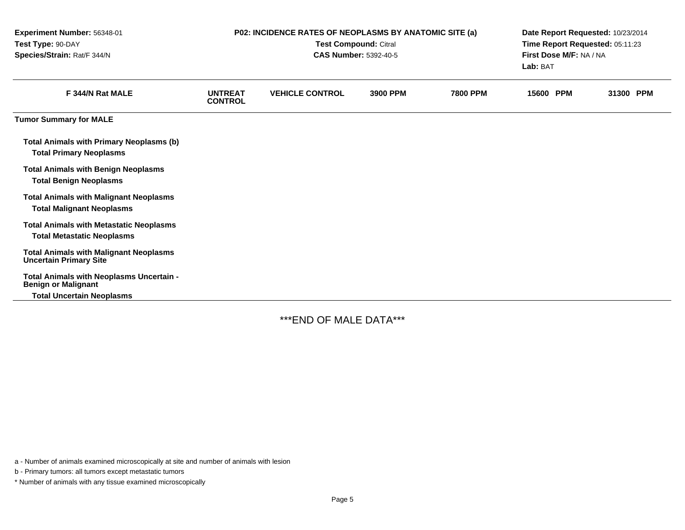| Experiment Number: 56348-01<br>Test Type: 90-DAY<br>Species/Strain: Rat/F 344/N                            | P02: INCIDENCE RATES OF NEOPLASMS BY ANATOMIC SITE (a)<br>Test Compound: Citral<br><b>CAS Number: 5392-40-5</b> |                        |          |                 | Date Report Requested: 10/23/2014<br>Time Report Requested: 05:11:23<br>First Dose M/F: NA / NA<br>Lab: BAT |           |  |
|------------------------------------------------------------------------------------------------------------|-----------------------------------------------------------------------------------------------------------------|------------------------|----------|-----------------|-------------------------------------------------------------------------------------------------------------|-----------|--|
| F 344/N Rat MALE                                                                                           | <b>UNTREAT</b><br><b>CONTROL</b>                                                                                | <b>VEHICLE CONTROL</b> | 3900 PPM | <b>7800 PPM</b> | 15600 PPM                                                                                                   | 31300 PPM |  |
| <b>Tumor Summary for MALE</b>                                                                              |                                                                                                                 |                        |          |                 |                                                                                                             |           |  |
| <b>Total Animals with Primary Neoplasms (b)</b><br><b>Total Primary Neoplasms</b>                          |                                                                                                                 |                        |          |                 |                                                                                                             |           |  |
| <b>Total Animals with Benign Neoplasms</b><br><b>Total Benign Neoplasms</b>                                |                                                                                                                 |                        |          |                 |                                                                                                             |           |  |
| <b>Total Animals with Malignant Neoplasms</b><br><b>Total Malignant Neoplasms</b>                          |                                                                                                                 |                        |          |                 |                                                                                                             |           |  |
| <b>Total Animals with Metastatic Neoplasms</b><br><b>Total Metastatic Neoplasms</b>                        |                                                                                                                 |                        |          |                 |                                                                                                             |           |  |
| <b>Total Animals with Malignant Neoplasms</b><br><b>Uncertain Primary Site</b>                             |                                                                                                                 |                        |          |                 |                                                                                                             |           |  |
| Total Animals with Neoplasms Uncertain -<br><b>Benign or Malignant</b><br><b>Total Uncertain Neoplasms</b> |                                                                                                                 |                        |          |                 |                                                                                                             |           |  |

\*\*\*END OF MALE DATA\*\*\*

a - Number of animals examined microscopically at site and number of animals with lesion

b - Primary tumors: all tumors except metastatic tumors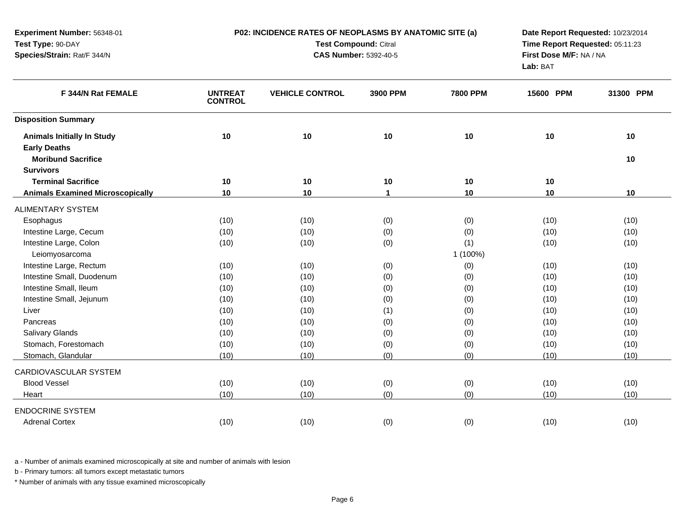| Test Type: 90-DAY                       |                                  | Test Compound: Citral        | Time Report Requested: 05:11:23     |                 |           |           |
|-----------------------------------------|----------------------------------|------------------------------|-------------------------------------|-----------------|-----------|-----------|
| Species/Strain: Rat/F 344/N             |                                  | <b>CAS Number: 5392-40-5</b> | First Dose M/F: NA / NA<br>Lab: BAT |                 |           |           |
| F 344/N Rat FEMALE                      | <b>UNTREAT</b><br><b>CONTROL</b> | <b>VEHICLE CONTROL</b>       | 3900 PPM                            | <b>7800 PPM</b> | 15600 PPM | 31300 PPM |
| <b>Disposition Summary</b>              |                                  |                              |                                     |                 |           |           |
| <b>Animals Initially In Study</b>       | 10                               | 10                           | 10                                  | 10              | 10        | 10        |
| <b>Early Deaths</b>                     |                                  |                              |                                     |                 |           |           |
| <b>Moribund Sacrifice</b>               |                                  |                              |                                     |                 |           | 10        |
| <b>Survivors</b>                        |                                  |                              |                                     |                 |           |           |
| <b>Terminal Sacrifice</b>               | 10                               | 10                           | 10                                  | 10              | 10        |           |
| <b>Animals Examined Microscopically</b> | 10                               | 10                           | $\mathbf 1$                         | 10              | 10        | 10        |
| <b>ALIMENTARY SYSTEM</b>                |                                  |                              |                                     |                 |           |           |
| Esophagus                               | (10)                             | (10)                         | (0)                                 | (0)             | (10)      | (10)      |
| Intestine Large, Cecum                  | (10)                             | (10)                         | (0)                                 | (0)             | (10)      | (10)      |
| Intestine Large, Colon                  | (10)                             | (10)                         | (0)                                 | (1)             | (10)      | (10)      |
| Leiomyosarcoma                          |                                  |                              |                                     | 1 (100%)        |           |           |
| Intestine Large, Rectum                 | (10)                             | (10)                         | (0)                                 | (0)             | (10)      | (10)      |
| Intestine Small, Duodenum               | (10)                             | (10)                         | (0)                                 | (0)             | (10)      | (10)      |
| Intestine Small, Ileum                  | (10)                             | (10)                         | (0)                                 | (0)             | (10)      | (10)      |
| Intestine Small, Jejunum                | (10)                             | (10)                         | (0)                                 | (0)             | (10)      | (10)      |
| Liver                                   | (10)                             | (10)                         | (1)                                 | (0)             | (10)      | (10)      |
| Pancreas                                | (10)                             | (10)                         | (0)                                 | (0)             | (10)      | (10)      |
| <b>Salivary Glands</b>                  | (10)                             | (10)                         | (0)                                 | (0)             | (10)      | (10)      |
| Stomach, Forestomach                    | (10)                             | (10)                         | (0)                                 | (0)             | (10)      | (10)      |
| Stomach, Glandular                      | (10)                             | (10)                         | (0)                                 | (0)             | (10)      | (10)      |
| CARDIOVASCULAR SYSTEM                   |                                  |                              |                                     |                 |           |           |
| <b>Blood Vessel</b>                     | (10)                             | (10)                         | (0)                                 | (0)             | (10)      | (10)      |
| Heart                                   | (10)                             | (10)                         | (0)                                 | (0)             | (10)      | (10)      |
| <b>ENDOCRINE SYSTEM</b>                 |                                  |                              |                                     |                 |           |           |
| <b>Adrenal Cortex</b>                   | (10)                             | (10)                         | (0)                                 | (0)             | (10)      | (10)      |
|                                         |                                  |                              |                                     |                 |           |           |

**P02: INCIDENCE RATES OF NEOPLASMS BY ANATOMIC SITE (a)**

**Date Report Requested:** 10/23/2014

a - Number of animals examined microscopically at site and number of animals with lesion

b - Primary tumors: all tumors except metastatic tumors

**Experiment Number:** 56348-01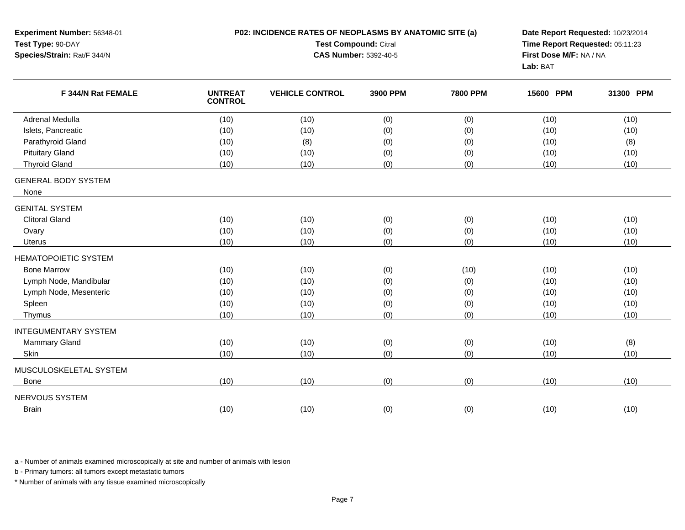| Test Type: 90-DAY<br>Species/Strain: Rat/F 344/N |                                  | Test Compound: Citral<br>Time Report Requested: 05:11:23<br>First Dose M/F: NA / NA<br><b>CAS Number: 5392-40-5</b><br>Lab: BAT |          |                 |           |           |
|--------------------------------------------------|----------------------------------|---------------------------------------------------------------------------------------------------------------------------------|----------|-----------------|-----------|-----------|
| F 344/N Rat FEMALE                               | <b>UNTREAT</b><br><b>CONTROL</b> | <b>VEHICLE CONTROL</b>                                                                                                          | 3900 PPM | <b>7800 PPM</b> | 15600 PPM | 31300 PPM |
| <b>Adrenal Medulla</b>                           | (10)                             | (10)                                                                                                                            | (0)      | (0)             | (10)      | (10)      |
| Islets, Pancreatic                               | (10)                             | (10)                                                                                                                            | (0)      | (0)             | (10)      | (10)      |
| Parathyroid Gland                                | (10)                             | (8)                                                                                                                             | (0)      | (0)             | (10)      | (8)       |
| <b>Pituitary Gland</b>                           | (10)                             | (10)                                                                                                                            | (0)      | (0)             | (10)      | (10)      |
| <b>Thyroid Gland</b>                             | (10)                             | (10)                                                                                                                            | (0)      | (0)             | (10)      | (10)      |
| <b>GENERAL BODY SYSTEM</b><br>None               |                                  |                                                                                                                                 |          |                 |           |           |
| <b>GENITAL SYSTEM</b>                            |                                  |                                                                                                                                 |          |                 |           |           |
| <b>Clitoral Gland</b>                            | (10)                             | (10)                                                                                                                            | (0)      | (0)             | (10)      | (10)      |
| Ovary                                            | (10)                             | (10)                                                                                                                            | (0)      | (0)             | (10)      | (10)      |
| Uterus                                           | (10)                             | (10)                                                                                                                            | (0)      | (0)             | (10)      | (10)      |
| <b>HEMATOPOIETIC SYSTEM</b>                      |                                  |                                                                                                                                 |          |                 |           |           |
| <b>Bone Marrow</b>                               | (10)                             | (10)                                                                                                                            | (0)      | (10)            | (10)      | (10)      |
| Lymph Node, Mandibular                           | (10)                             | (10)                                                                                                                            | (0)      | (0)             | (10)      | (10)      |
| Lymph Node, Mesenteric                           | (10)                             | (10)                                                                                                                            | (0)      | (0)             | (10)      | (10)      |
| Spleen                                           | (10)                             | (10)                                                                                                                            | (0)      | (0)             | (10)      | (10)      |
| Thymus                                           | (10)                             | (10)                                                                                                                            | (0)      | (0)             | (10)      | (10)      |
| <b>INTEGUMENTARY SYSTEM</b>                      |                                  |                                                                                                                                 |          |                 |           |           |
| <b>Mammary Gland</b>                             | (10)                             | (10)                                                                                                                            | (0)      | (0)             | (10)      | (8)       |
| Skin                                             | (10)                             | (10)                                                                                                                            | (0)      | (0)             | (10)      | (10)      |
| MUSCULOSKELETAL SYSTEM                           |                                  |                                                                                                                                 |          |                 |           |           |
| <b>Bone</b>                                      | (10)                             | (10)                                                                                                                            | (0)      | (0)             | (10)      | (10)      |
| NERVOUS SYSTEM                                   |                                  |                                                                                                                                 |          |                 |           |           |
| <b>Brain</b>                                     | (10)                             | (10)                                                                                                                            | (0)      | (0)             | (10)      | (10)      |

**P02: INCIDENCE RATES OF NEOPLASMS BY ANATOMIC SITE (a)**

**Date Report Requested:** 10/23/2014

a - Number of animals examined microscopically at site and number of animals with lesion

b - Primary tumors: all tumors except metastatic tumors

**Experiment Number:** 56348-01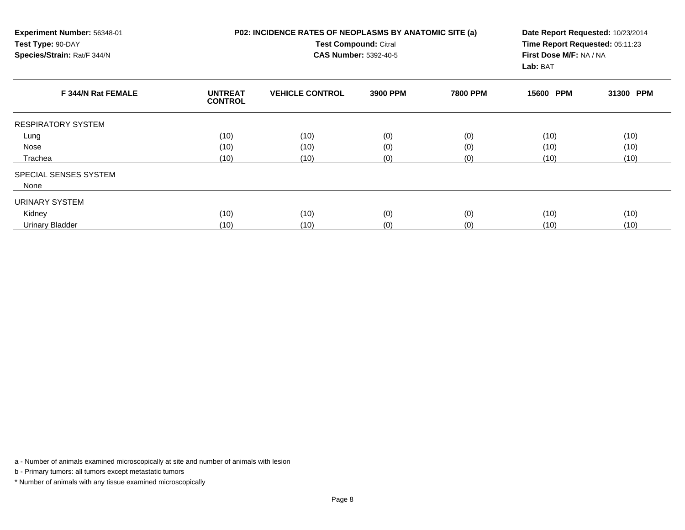| Experiment Number: 56348-01<br>Test Type: 90-DAY<br>Species/Strain: Rat/F 344/N |                                  | <b>P02: INCIDENCE RATES OF NEOPLASMS BY ANATOMIC SITE (a)</b><br>Test Compound: Citral<br><b>CAS Number: 5392-40-5</b> | Date Report Requested: 10/23/2014<br>Time Report Requested: 05:11:23<br>First Dose M/F: NA / NA<br>Lab: BAT |                 |           |           |
|---------------------------------------------------------------------------------|----------------------------------|------------------------------------------------------------------------------------------------------------------------|-------------------------------------------------------------------------------------------------------------|-----------------|-----------|-----------|
| F 344/N Rat FEMALE                                                              | <b>UNTREAT</b><br><b>CONTROL</b> | <b>VEHICLE CONTROL</b>                                                                                                 | 3900 PPM                                                                                                    | <b>7800 PPM</b> | 15600 PPM | 31300 PPM |
| <b>RESPIRATORY SYSTEM</b>                                                       |                                  |                                                                                                                        |                                                                                                             |                 |           |           |
| Lung                                                                            | (10)                             | (10)                                                                                                                   | (0)                                                                                                         | (0)             | (10)      | (10)      |
| Nose                                                                            | (10)                             | (10)                                                                                                                   | (0)                                                                                                         | (0)             | (10)      | (10)      |
| Trachea                                                                         | (10)                             | (10)                                                                                                                   | (0)                                                                                                         | (0)             | (10)      | (10)      |
| SPECIAL SENSES SYSTEM                                                           |                                  |                                                                                                                        |                                                                                                             |                 |           |           |
| None                                                                            |                                  |                                                                                                                        |                                                                                                             |                 |           |           |
| URINARY SYSTEM                                                                  |                                  |                                                                                                                        |                                                                                                             |                 |           |           |
| Kidney                                                                          | (10)                             | (10)                                                                                                                   | (0)                                                                                                         | (0)             | (10)      | (10)      |
| Urinary Bladder                                                                 | (10)                             | (10)                                                                                                                   | (0)                                                                                                         | (0)             | (10)      | (10)      |

b - Primary tumors: all tumors except metastatic tumors